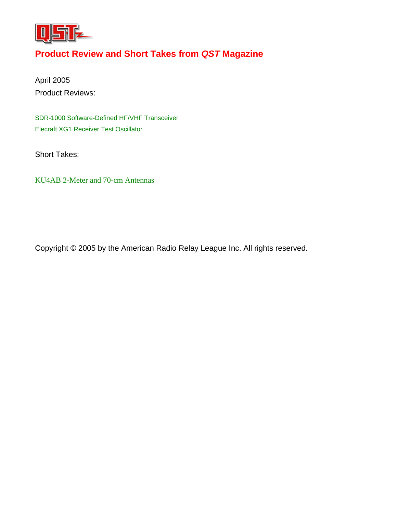

## **Product Review and Short Takes from** *QST* **Magazine**

April 2005 Product Reviews:

[SDR-1000 Software-Defined HF/VHF Transceiver](#page-1-0)  [Elecraft XG1 Receiver Test Oscillator](#page-6-0) 

Short Takes:

[KU4AB 2-Meter and 70-cm Antennas](#page-8-0) 

Copyright © 2005 by the American Radio Relay League Inc. All rights reserved.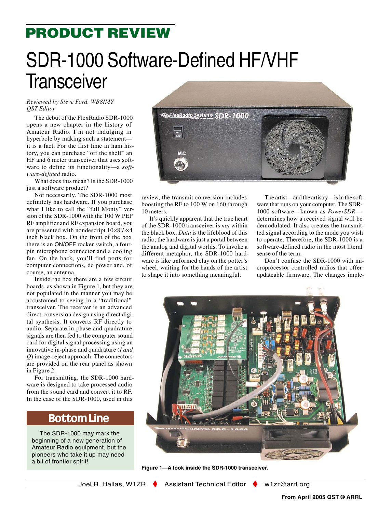# <span id="page-1-0"></span>**PRODUCT REVIEW**

# SDR-1000 Software-Defined HF/VHF **Transceiver**

### *Reviewed by Steve Ford, WB8IMY QST Editor*

The debut of the FlexRadio SDR-1000 opens a new chapter in the history of Amateur Radio. I'm not indulging in hyperbole by making such a statement it is a fact. For the first time in ham history, you can purchase "off the shelf" an HF and 6 meter transceiver that uses software to define its functionality—a *software-defined* radio.

What does this mean? Is the SDR-1000 just a software product?

Not necessarily. The SDR-1000 most definitely has hardware. If you purchase what I like to call the "full Monty" version of the SDR-1000 with the 100 W PEP RF amplifier and RF expansion board, you are presented with nondescript 10×81 /2×4 inch black box. On the front of the box there is an ON/OFF rocker switch, a fourpin microphone connector and a cooling fan. On the back, you'll find ports for computer connections, dc power and, of course, an antenna.

Inside the box there are a few circuit boards, as shown in Figure 1, but they are not populated in the manner you may be accustomed to seeing in a "traditional" transceiver. The receiver is an advanced direct-conversion design using direct digital synthesis. It converts RF directly to audio. Separate in-phase and quadrature signals are then fed to the computer sound card for digital signal processing using an innovative in-phase and quadrature (*I and Q*) image-reject approach. The connectors are provided on the rear panel as shown in Figure 2.

For transmitting, the SDR-1000 hardware is designed to take processed audio from the sound card and convert it to RF. In the case of the SDR-1000, used in this

## **Bottom Line**

The SDR-1000 may mark the beginning of a new generation of Amateur Radio equipment, but the pioneers who take it up may need a bit of frontier spirit!



review, the transmit conversion includes boosting the RF to 100 W on 160 through 10 meters.

It's quickly apparent that the true heart of the SDR-1000 transceiver is *not* within the black box. *Data* is the lifeblood of this radio; the hardware is just a portal between the analog and digital worlds. To invoke a different metaphor, the SDR-1000 hardware is like unformed clay on the potter's wheel, waiting for the hands of the artist to shape it into something meaningful.

The artist—and the artistry—is in the software that runs on your computer. The SDR-1000 software—known as *PowerSDR* determines how a received signal will be demodulated. It also creates the transmitted signal according to the mode you wish to operate. Therefore, the SDR-1000 is a software-defined radio in the most literal sense of the term.

Don't confuse the SDR-1000 with microprocessor controlled radios that offer updateable firmware. The changes imple-



**Figure 1—A look inside the SDR-1000 transceiver.**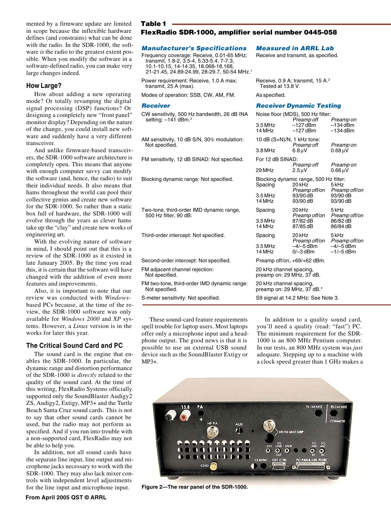mented by a firmware update are limited in scope because the inflexible hardware defines (and constrains) what can be done with the radio. In the SDR-1000, the software *is* the radio to the greatest extent possible. When you modify the software in a software-defined radio, you can make very large changes indeed.

#### **How Large?**

How about adding a new operating mode? Or totally revamping the digital signal processing (DSP) functions? Or designing a completely new "front panel" monitor display? Depending on the nature of the change, you could install new software and suddenly have a very different transceiver.

And unlike firmware-based transceivers, the SDR-1000 software architecture is completely open. This means that anyone with enough computer savvy can modify the software (and, hence, the radio) to suit their individual needs. It also means that hams throughout the world can pool their collective genius and create new software for the SDR-1000. So rather than a static box full of hardware, the SDR-1000 will evolve through the years as clever hams take up the "clay" and create new works of engineering art.

With the evolving nature of software in mind, I should point out that this is a review of the SDR-1000 as it existed in late January 2005. By the time you read this, it is certain that the software will have changed with the addition of even more features and improvements.

Also, it is important to note that our review was conducted with *Windows*based PCs because, at the time of the review, the SDR-1000 software was only available for *Windows 2000* and *XP* systems. However, a *Linux* version is in the works for later this year.

#### **The Critical Sound Card and PC**

The sound card is the engine that enables the SDR-1000. In particular, the dynamic range and distortion performance of the SDR-1000 is *directly* related to the quality of the sound card. At the time of this writing, FlexRadio Systems officially supported only the SoundBlaster Audigy2 ZS, Audigy2, Extigy, MP3+ and the Turtle Beach Santa Cruz sound cards. This is not to say that other sound cards cannot be used, but the radio may not perform as specified. And if you run into trouble with a non-supported card, FlexRadio may not be able to help you.

In addition, not all sound cards have the separate line input, line output and microphone jacks necessary to work with the SDR-1000. They may also lack mixer controls with independent level adjustments for the line input and microphone input. **Figure 2—The rear panel of the SDR-1000.**

#### **Table 1**

#### **FlexRadio SDR-1000, amplifier serial number 0445-058**

#### **Manufacturer's Specifications Measured in ARRL Lab**

Frequency coverage: Receive, 0.01-65 MHz; Receive and transmit, as specified. transmit, 1.8-2, 3.5-4, 5.33-5.4, 7-7.3, 10.1-10.15, 14-14.35, 18.068-18.168, 21-21.45, 24.89-24.99, 28-29.7, 50-54 MHz.1

Power requirement: Receive, 1.0 A max; Receive, 0.9 A; transmit, 15 A.<sup>2</sup><br>transmit, 25 A (max).<br>Fested at 13.8 V. transmit,  $25$  A (max).

Modes of operation: SSB, CW, AM, FM. As specified.

CW sensitivity, 500 Hz bandwidth, 26 dB IN setting:  $-141$  dBm.<sup>3</sup>

AM sensitivity, 10 dB S/N, 30% modulation Not specified.

FM sensitivity, 12 dB SINAD: Not specified

Blocking dynamic range: Not specified.

Two-tone, third-order IMD dynamic range, 500 Hz filter,  $90$  dB:

Third-order intercept: Not specified.

Second-order intercept: Not specified. FM adjacent channel rejection: Not specified. FM two-tone, third-order IMD dynamic rang Not specified. S-meter sensitivity: Not specified.

These sound-card feature requirements spell trouble for laptop users. Most laptops offer only a microphone input and a headphone output. The good news is that it is possible to use an external USB sound device such as the SoundBlaster Extigy or MP3+.

In addition to a quality sound card, you'll need a quality (read: "fast") PC. The minimum requirement for the SDR-1000 is an 800 MHz Pentium computer. In our tests, an 800 MHz system was *just* adequate. Stepping up to a machine with a clock speed greater than 1 GHz makes a

Tx 144 MHZ

**F/50 MHZ ORI** 

**Rx 144 MHZ** 



**AUX** Æ

#### **Receiver Receiver Dynamic Testing**

| N٨  |                                                       | Noise floor (MDS), 500 Hz filter:                                 |                                       |  |  |
|-----|-------------------------------------------------------|-------------------------------------------------------------------|---------------------------------------|--|--|
|     | 3.5 MHz<br>14 MHz                                     | Preamp off<br>–127 dBm<br>–127 dBm                                | Preamp on<br>$-134$ dBm<br>$-134$ dBm |  |  |
| İ   | 10 dB (S+N)/N, 1 kHz tone:                            | Preamp off                                                        | Preamp on                             |  |  |
|     | $3.8$ MHz                                             | $6.8 \mu V$                                                       | $0.68 \,\mathrm{uV}$                  |  |  |
|     | For 12 dB SINAD:                                      |                                                                   |                                       |  |  |
|     | 29 MHz                                                | Preamp off<br>$2.5 \mu V$                                         | Preamp on<br>$0.66 \,\mathrm{uV}$     |  |  |
|     | Spacing                                               | Blocking dynamic range, 500 Hz filter:<br>20 kHz<br>Preamp off/on | 5 kHz<br>Preamp off/on                |  |  |
|     | 3.5 MHz<br>14 MHz                                     | 93/90 dB<br>93/90 dB                                              | 93/90 dB<br>93/90 dB                  |  |  |
|     | Spacing                                               | 20 kHz<br>Preamp off/on                                           | 5 kHz<br>Preamp off/on                |  |  |
|     | 3.5 MHz<br>14 MHz                                     | 87/82 dB<br>87/85 dB                                              | 86/82 dB<br>86/84 dB                  |  |  |
|     | Spacing                                               | 20 kHz<br>Preamp off/on                                           | 5 kHz<br>Preamp off/on                |  |  |
|     | $3.5$ MHz<br>14 MHz                                   | $-4/-5$ dBm<br>$0/-3$ dBm                                         | $-4/-5$ dBm<br>$-1/-5$ dBm            |  |  |
|     | Preamp off/on, +69/+62 dBm.                           |                                                                   |                                       |  |  |
|     | 20 kHz channel spacing,<br>preamp on: 29 MHz, 37 dB.  |                                                                   |                                       |  |  |
| ıе: | 20 kHz channel spacing,<br>preamp on: 29 MHz, 37 dB.* |                                                                   |                                       |  |  |
|     |                                                       | S9 signal at 14.2 MHz: See Note 3.                                |                                       |  |  |

**From April 2005 QST © ARRL**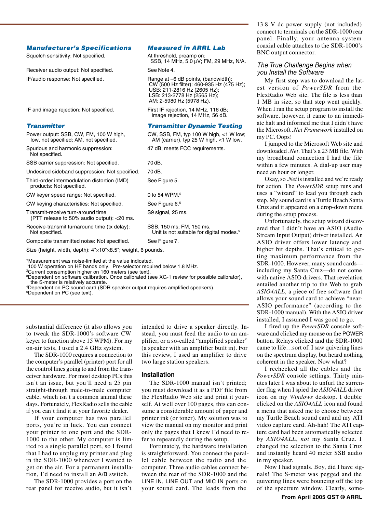13.8 V dc power supply (not included) connect to terminals on the SDR-1000 rear panel. Finally, your antenna system coaxial cable attaches to the SDR-1000's BNC output connector.

#### **Manufacturer's Specifications Measured in ARRL Lab**

Squelch sensitivity: Not specified. At threshold, preamp on:

Receiver audio output: Not specified. See Note 4. IF/audio response: Not specified. Range at –6 dB points, (bandwidth):

IF and image rejection: Not specified. First IF rejection, 14 MHz, 116 dB;

#### **Transmitter Transmitter Dynamic Testing**

Power output: SSB, CW, FM, 100 W high, CW, SSB, FM, typ 100 W high, <1 W low;<br>low, not specified; AM, not specified. AM (carrier), typ 25 W high, <1 W low.

Spurious and harmonic suppression: 47 dB; meets FCC requirements. Not specified.

SSB carrier suppression: Not specified. 70 dB.

Undesired sideband suppression: Not specified. 70 dB.

Third-order intermodulation distortion (IMD) See Figure 5. products: Not specified.

CW keyer speed range: Not specified. 0 to 54 WPM.<sup>5</sup>

CW keying characteristics: Not specified. See Figure 6.5

Transmit-receive turn-around time S9 signal, 25 ms. (PTT release to 50% audio output): <20 ms.

Receive-transmit turnaround time (tx delay): SSB, 150 ms; FM, 150 ms.

Composite transmitted noise: Not specified. See Figure 7.

Size (height, width, depth): 4"×10"×8.5"; weight, 6 pounds.

\*Measurement was noise-limited at the value indicated.

1100 W operation on HF bands only. Pre-selector required below 1.8 MHz. 2 Current consumption higher on 160 meters (see text).

3Dependent on software calibration. Once calibrated (see XG-1 review for possible calibrator), the S-meter is relatively accurate.

4 Dependent on PC sound card (SDR speaker output requires amplified speakers). 5Dependent on PC (see text).

substantial difference (it also allows you to tweak the SDR-1000's software CW keyer to function above 15 WPM). For my on-air tests, I used a 2.4 GHz system.

The SDR-1000 requires a connection to the computer's parallel (printer) port for all the control lines going to and from the transceiver hardware. For most desktop PCs this isn't an issue, but you'll need a 25 pin straight-through male-to-male computer cable, which isn't a common animal these days. Fortunately, FlexRadio sells the cable if you can't find it at your favorite dealer.

If your computer has two parallel ports, you're in luck. You can connect your printer to one port and the SDR-1000 to the other. My computer is limited to a single parallel port, so I found that I had to unplug my printer and plug in the SDR-1000 whenever I wanted to get on the air. For a permanent installation, I'd need to install an A/B switch.

The SDR-1000 provides a port on the rear panel for receive audio, but it isn't

intended to drive a speaker directly. Instead, you must feed the audio to an amplifier, or a so-called "amplified speaker" (a speaker with an amplifier built in). For this review, I used an amplifier to drive two large station speakers.

#### **Installation**

The SDR-1000 manual isn't printed; you must download it as a PDF file from the FlexRadio Web site and print it yourself. At well over 100 pages, this can consume a considerable amount of paper and printer ink (or toner). My solution was to view the manual on my monitor and print only the pages that I knew I'd need to refer to repeatedly during the setup.

Fortunately, the hardware installation is straightforward. You connect the parallel cable between the radio and the computer. Three audio cables connect between the rear of the SDR-1000 and the LINE IN, LINE OUT and MIC IN ports on your sound card. The leads from the

The True Challenge Begins when you Install the Software

My first step was to download the latest version of *PowerSDR* from the FlexRadio Web site. The file is less than 1 MB in size, so that step went quickly. When I ran the setup program to install the software, however, it came to an immediate halt and informed me that I didn't have the Microsoft *.Net Framework* installed on my PC. Oops!

I jumped to the Microsoft Web site and downloaded .*Net*. That's a 23 MB file. With my broadband connection I had the file within a few minutes. A dial-up user may need an hour or longer.

Okay, so .*Net* is installed and we're ready for action. The *PowerSDR* setup runs and uses a "wizard" to lead you through each step. My sound card is a Turtle Beach Santa Cruz and it appeared on a drop-down menu during the setup process.

Unfortunately, the setup wizard discovered that I didn't have an ASIO (Audio Stream Input Output) driver installed. An ASIO driver offers lower latency and higher bit depths. That's critical to getting maximum performance from the SDR-1000. However, many sound cards including my Santa Cruz—do not come with native ASIO drivers. That revelation entailed another trip to the Web to grab *ASIO4ALL*, a piece of free software that allows your sound card to achieve "near-ASIO performance" (according to the SDR-1000 manual). With the ASIO driver installed, I assumed I was good to go.

I fired up the *PowerSDR* console software and clicked my mouse on the POWER button. Relays clicked and the SDR-1000 came to life…sort of. I saw quivering lines on the spectrum display, but heard nothing coherent in the speaker. Now what?

I rechecked all the cables and the *PowerSDR* console settings. Thirty minutes later I was about to unfurl the surrender flag when I spied the *ASIO4ALL* driver icon on my *Windows* desktop. I double clicked on the *ASIO4ALL* icon and found a menu that asked me to choose between my Turtle Beach sound card and my ATI video capture card. Ah-hah! The ATI capture card had been automatically selected by *ASIO4ALL*, *not* my Santa Cruz. I changed the selection to the Santa Cruz and instantly heard 40 meter SSB audio in my speaker.

Now I had signals. Boy, did I have signals! The S-meter was pegged and the quivering lines were bouncing off the top of the spectrum window. Clearly, some-

Unit is not suitable for digital modes.<sup>5</sup>

SSB, 14 MHz, 5.0 μV; FM, 29 MHz, N/A.

CW (500 Hz filter): 460-935 Hz (475 Hz);

AM (carrier), typ 25 W high,  $<$ 1 W low.

 USB: 211-2816 Hz (2605 Hz); LSB: 213-2778 Hz (2565 Hz); AM: 2-5980 Hz (5978 Hz).

image rejection, 14 MHz, 56 dB.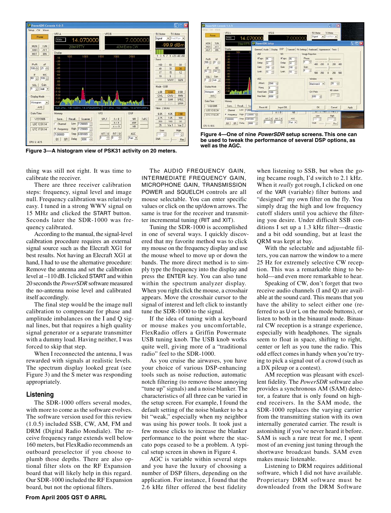

**Figure 3—A histogram view of PSK31 activity on 20 meters.**



**Figure 4—One of nine PowerSDR setup screens. This one can be used to tweak the performance of several DSP options, as well as the AGC.**

thing was still not right. It was time to calibrate the receiver.

There are three receiver calibration steps: frequency, signal level and image null. Frequency calibration was relatively easy. I tuned in a strong WWV signal on 15 MHz and clicked the START button. Seconds later the SDR-1000 was frequency calibrated.

According to the manual, the signal-level calibration procedure requires an external signal source such as the Elecraft XG1 for best results. Not having an Elecraft XG1 at hand, I had to use the alternative procedure: Remove the antenna and set the calibration level at –110 dB. I clicked START and within 20 seconds the *PowerSDR* software measured the no-antenna noise level and calibrated itself accordingly.

The final step would be the image null calibration to compensate for phase and amplitude imbalances on the I and Q signal lines, but that requires a high quality signal generator or a separate transmitter with a dummy load. Having neither, I was forced to skip that step.

When I reconnected the antenna, I was rewarded with signals at realistic levels. The spectrum display looked great (see Figure 3) and the S meter was responding appropriately.

#### **Listening**

The SDR-1000 offers several modes, with more to come as the software evolves. The software version used for this review (1.0.5) included SSB, CW, AM, FM and DRM (Digital Radio Mondiale). The receive frequency range extends well below 160 meters, but FlexRadio recommends an outboard preselector if you choose to plumb those depths. There are also optional filter slots on the RF Expansion board that will likely help in this regard. Our SDR-1000 included the RF Expansion board, but not the optional filters.

The AUDIO FREQUENCY GAIN, INTERMEDIATE FREQUENCY GAIN, MICROPHONE GAIN, TRANSMISSION POWER and SQUELCH controls are all mouse selectable. You can enter specific values or click on the up/down arrows. The same is true for the receiver and transmitter incremental tuning (RIT and XIT).

Tuning the SDR-1000 is accomplished in one of several ways. I quickly discovered that my favorite method was to click my mouse on the frequency display and use the mouse wheel to move up or down the bands. The more direct method is to simply type the frequency into the display and press the ENTER key. You can also tune within the spectrum analyzer display. When you right click the mouse, a crosshair appears. Move the crosshair cursor to the signal of interest and left click to instantly tune the SDR-1000 to the signal.

If the idea of tuning with a keyboard or mouse makes you uncomfortable, FlexRadio offers a Griffin Powermate USB tuning knob. The USB knob works quite well, giving more of a "traditional radio" feel to the SDR-1000.

As you cruise the airwaves, you have your choice of various DSP-enhancing tools such as noise reduction, automatic notch filtering (to remove those annoying "tune up" signals) and a noise blanker. The characteristics of all three can be varied in the setup screen. For example, I found the default setting of the noise blanker to be a bit "weak," especially when my neighbor was using his power tools. It took just a few mouse clicks to increase the blanker performance to the point where the staccato pops ceased to be a problem. A typical setup screen in shown in Figure 4.

AGC is variable within several steps and you have the luxury of choosing a number of DSP filters, depending on the application. For instance, I found that the 2.6 kHz filter offered the best fidelity

when listening to SSB, but when the going became rough, I'd switch to 2.1 kHz. When it *really* got rough, I clicked on one of the VAR (variable) filter buttons and "designed" my own filter on the fly. You simply drag the high and low frequency cutoff sliders until you achieve the filtering you desire. Under difficult SSB conditions I set up a 1.3 kHz filter—drastic and a bit odd sounding, but at least the QRM was kept at bay.

With the selectable and adjustable filters, you can narrow the window to a mere 25 Hz for extremely selective CW reception. This was a remarkable thing to behold—and even more remarkable to hear.

Speaking of CW, don't forget that two receive audio channels (I and Q) are available at the sound card. This means that you have the ability to select either one (referred to as U or L on the mode buttons), or listen to both in the binaural mode. Binaural CW reception is a strange experience, especially with headphones. The signals seem to float in space, shifting to right, center or left as you tune the radio. This odd effect comes in handy when you're trying to pick a signal out of a crowd (such as a DX pileup or a contest).

AM reception was pleasant with excellent fidelity. The *PowerSDR* software also provides a synchronous AM (SAM) detector, a feature that is only found on highend receivers. In the SAM mode, the SDR-1000 replaces the varying carrier from the transmitting station with its own internally generated carrier. The result is astonishing if you've never heard it before. SAM is such a rare treat for me, I spent most of an evening just tuning through the shortwave broadcast bands. SAM even makes music listenable.

Listening to DRM requires additional software, which I did not have available. Proprietary DRM software must be downloaded from the DRM Software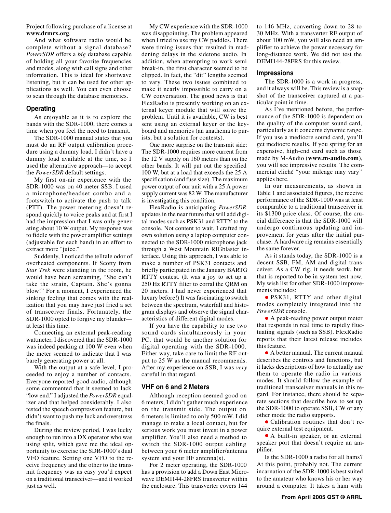Project following purchase of a license at **www.drmrx.org**.

And what software radio would be complete without a signal database? *PowerSDR* offers a *big* database capable of holding all your favorite frequencies and modes, along with call signs and other information. This is ideal for shortwave listening, but it can be used for other applications as well. You can even choose to scan through the database memories.

#### **Operating**

As enjoyable as it is to explore the bands with the SDR-1000, there comes a time when you feel the need to transmit.

The SDR-1000 manual states that you must do an RF output calibration procedure using a dummy load. I didn't have a dummy load available at the time, so I used the alternative approach—to accept the *PowerSDR* default settings.

My first on-air experience with the SDR-1000 was on 40 meter SSB. I used a microphone/headset combo and a footswitch to activate the push to talk (PTT). The power metering doesn't respond quickly to voice peaks and at first I had the impression that I was only generating about 10 W output. My response was to fiddle with the power amplifier settings (adjustable for each band) in an effort to extract more "juice."

Suddenly, I noticed the telltale odor of overheated components. If Scotty from *Star Trek* were standing in the room, he would have been screaming, "She can't take the strain, Captain. She's gonna blow!" For a moment, I experienced the sinking feeling that comes with the realization that you may have just fried a set of transceiver finals. Fortunately, the SDR-1000 opted to forgive my blunder at least this time.

Connecting an external peak-reading wattmeter, I discovered that the SDR-1000 was indeed peaking at 100 W even when the meter seemed to indicate that I was barely generating power at all.

With the output at a safe level, I proceeded to enjoy a number of contacts. Everyone reported good audio, although some commented that it seemed to lack "low end." I adjusted the *PowerSDR* equalizer and that helped considerably. I also tested the speech compression feature, but didn't want to push my luck and overstress the finals.

During the review period, I was lucky enough to run into a DX operator who was using split, which gave me the ideal opportunity to exercise the SDR-1000's dual VFO feature. Setting one VFO to the receive frequency and the other to the transmit frequency was as easy you'd expect on a traditional transceiver—and it worked just as well.

My CW experience with the SDR-1000 was disappointing. The problem appeared when I tried to use my CW paddles. There were timing issues that resulted in maddening delays in the sidetone audio. In addition, when attempting to work semi break-in, the first character seemed to be clipped. In fact, the "dit" lengths seemed to vary. These two issues combined to make it nearly impossible to carry on a CW conversation. The good news is that FlexRadio is presently working on an external keyer module that will solve the problem. Until it is available, CW is best sent using an external keyer or the keyboard and memories (an anathema to purists, but a solution for contests).

One more surprise on the transmit side: The SDR-1000 requires more current from the 12 V supply on 160 meters than on the other bands. It will put out the specified 100 W, but at a load that exceeds the 25 A specification (and fuse size). The maximum power output of our unit with a 25 A power supply current was 82 W. The manufacturer is investigating this condition.

FlexRadio is anticipating *PowerSDR* updates in the near future that will add digital modes such as PSK31 and RTTY to the console. Not content to wait, I crafted my own solution using a laptop computer connected to the SDR-1000 microphone jack through a West Mountain RIGblaster interface. Using this approach, I was able to make a number of PSK31 contacts and briefly participated in the January BARTG RTTY contest. (It was a joy to set up a 250 Hz RTTY filter to corral the QRM on 20 meters. I had never experienced that luxury before!) It was fascinating to switch between the spectrum, waterfall and histogram displays and observe the signal characteristics of different digital modes.

If you have the capability to use two sound cards simultaneously in your PC, that would be another solution for digital operating with the SDR-1000. Either way, take care to limit the RF output to 25 W as the manual recommends. After my experience on SSB, I was *very* careful in that regard.

#### **VHF on 6 and 2 Meters**

Although reception seemed good on 6 meters, I didn't gather much experience on the transmit side. The output on 6 meters is limited to only 500 mW. I did manage to make a local contact, but for serious work you must invest in a power amplifier. You'll also need a method to switch the SDR-1000 output cabling between your 6 meter amplifier/antenna system and your HF antenna(s).

For 2 meter operating, the SDR-1000 has a provision to add a Down East Microwave DEMI144-28FRS transverter within the enclosure. This transverter covers 144

to 146 MHz, converting down to 28 to 30 MHz. With a transverter RF output of about 100 mW, you will also need an amplifier to achieve the power necessary for long-distance work. We did not test the DEMI144-28FRS for this review.

#### **Impressions**

The SDR-1000 is a work in progress, and it always will be. This review is a snapshot of the transceiver captured at a particular point in time.

As I've mentioned before, the performance of the SDR-1000 is dependent on the quality of the computer sound card, particularly as it concerns dynamic range. If you use a mediocre sound card, you'll get mediocre results. If you spring for an expensive, high-end card such as those made by M-Audio (**www.m-audio.com**), you will see impressive results. The commercial cliché "your mileage may vary" applies here.

In our measurements, as shown in Table 1 and associated figures, the receive performance of the SDR-1000 was at least comparable to a traditional transceiver in its \$1300 price class. Of course, the crucial difference is that the SDR-1000 will undergo continuous updating and improvement for years after the initial purchase. A hardware rig remains essentially the same forever.

As it stands today, the SDR-1000 is a decent SSB, FM, AM and digital transceiver. As a CW rig, it needs work, but that is reported to be in system test now. My wish list for other SDR-1000 improvements includes:

• PSK31, RTTY and other digital modes completely integrated into the *PowerSDR* console.

• A peak-reading power output meter that responds in real time to rapidly fluctuating signals (such as SSB). FlexRadio reports that their latest release includes this feature.

• A better manual. The current manual describes the controls and functions, but it lacks descriptions of how to actually use them to operate the radio in various modes. It should follow the example of traditional transceiver manuals in this regard. For instance, there should be separate sections that describe how to set up the SDR-1000 to operate SSB, CW or any other mode the radio supports.

• Calibration routines that don't require external test equipment.

• A built-in speaker, or an external speaker port that doesn't require an amplifier.

Is the SDR-1000 a radio for all hams? At this point, probably not. The current incarnation of the SDR-1000 is best suited to the amateur who knows his or her way around a computer. It takes a ham with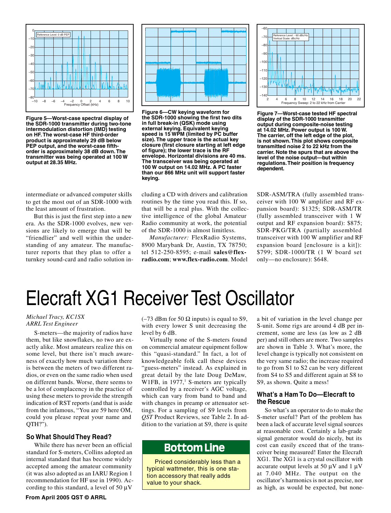<span id="page-6-0"></span>

**Figure 5—Worst-case spectral display of the SDR-1000 transmitter during two-tone intermodulation distortion (IMD) testing on HF. The worst-case HF third-order product is approximately 29 dB below PEP output, and the worst-case fifthorder is approximately 38 dB down. The transmitter was being operated at 100 W output at 28.35 MHz.**

intermediate or advanced computer skills to get the most out of an SDR-1000 with the least amount of frustration.

But this is just the first step into a new era. As the SDR-1000 evolves, new versions are likely to emerge that will be "friendlier" and well within the understanding of any amateur. The manufacturer reports that they plan to offer a turnkey sound-card and radio solution in-



**Figure 6—CW keying waveform for the SDR-1000 showing the first two dits in full break-in (QSK) mode using external keying. Equivalent keying speed is 15 WPM (limited by PC buffer size). The upper trace is the actual key closure (first closure starting at left edge of figure); the lower trace is the RF envelope. Horizontal divisions are 40 ms. The transceiver was being operated at 100 W output on 14.02 MHz. A PC faster than our 866 MHz unit will support faster keying.**

cluding a CD with drivers and calibration routines by the time you read this. If so, that will be a real plus. With the collective intelligence of the global Amateur Radio community at work, the potential of the SDR-1000 is almost limitless.

*Manufacturer:* FlexRadio Systems, 8900 Marybank Dr, Austin, TX 78750; tel 512-250-8595; e-mail **sales@flexradio.com**; **www.flex-radio.com**. Model

( $-73$  dBm for 50  $\Omega$  inputs) is equal to S9, with every lower S unit decreasing the

Virtually none of the S-meters found on commercial amateur equipment follow this "quasi-standard." In fact, a lot of knowledgeable folk call these devices "guess-meters" instead. As explained in great detail by the late Doug DeMaw,



**Figure 7—Worst-case tested HF spectral display of the SDR-1000 transmitter output during composite-noise testing at 14.02 MHz. Power output is 100 W. The carrier, off the left edge of the plot, is not shown. This plot shows composite transmitted noise 2 to 22 kHz from the carrier. Note the spurs that are above the level of the noise output—but within regulations. Their position is frequency dependent.**

SDR-ASM/TRA (fully assembled transceiver with 100 W amplifier and RF expansion board): \$1325; SDR-ASM/TR (fully assembled transceiver with 1 W output and RF expansion board): \$875; SDR-PKG/TRA (partially assembled transceiver with 100 W amplifier and RF expansion board [enclosure is a kit]): \$799; SDR-1000/TR (1 W board set only—no enclosure): \$648.

# Elecraft XG1 Receiver Test Oscillator

level by 6 dB.

#### *Michael Tracy, KC1SX ARRL Test Engineer*

S-meters—the majority of radios have them, but like snowflakes, no two are exactly alike. Most amateurs realize this on some level, but there isn't much awareness of exactly how much variation there is between the meters of two different radios, or even on the same radio when used on different bands. Worse, there seems to be a lot of complacency in the practice of using these meters to provide the strength indication of RST reports (and that is aside from the infamous, "You are 59 here OM, could you please repeat your name and QTH?").

### **So What Should They Read?**

While there has never been an official standard for S-meters, Collins adopted an internal standard that has become widely accepted among the amateur community (it was also adopted as an IARU Region 1 recommendation for HF use in 1990). According to this standard, a level of 50  $\mu$ V

W1FB, in 1977,<sup>1</sup> S-meters are typically controlled by a receiver's AGC voltage,

which can vary from band to band and with changes in preamp or attenuator settings. For a sampling of S9 levels from *QST* Product Reviews, see Table 2. In addition to the variation at S9, there is quite

## **Bottom Line**

Priced considerably less than a typical wattmeter, this is one station accessory that really adds value to your shack.

a bit of variation in the level change per S-unit. Some rigs are around 4 dB per increment, some are less (as low as 2 dB per) and still others are more. Two samples are shown in Table 3. What's more, the level change is typically not consistent on the very same radio; the increase required to go from S1 to S2 can be very different from S4 to S5 and different again at S8 to S9, as shown. Quite a mess!

#### **What's a Ham To Do—Elecraft to the Rescue**

So what's an operator to do to make the S-meter useful? Part of the problem has been a lack of accurate level signal sources at reasonable cost. Certainly a lab-grade signal generator would do nicely, but its cost can easily exceed that of the transceiver being measured! Enter the Elecraft XG1. The XG1 is a crystal oscillator with accurate output levels at 50  $\mu$ V and 1  $\mu$ V at 7.040 MHz. The output on the oscillator's harmonics is not as precise, nor as high, as would be expected, but none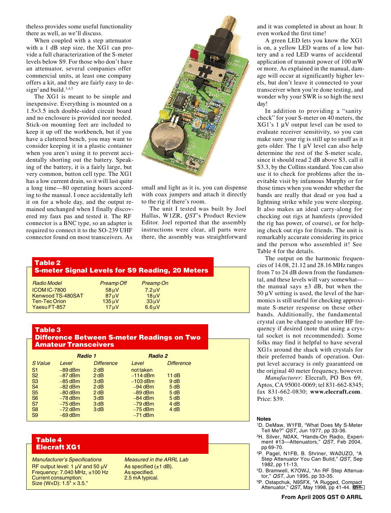theless provides some useful functionality there as well, as we'll discuss.

When coupled with a step attenuator with a 1 dB step size, the XG1 can provide a full characterization of the S-meter levels below S9. For those who don't have an attenuator, several companies offer commercial units, at least one company offers a kit, and they are fairly easy to design<sup>2</sup> and build.<sup>3,4,5</sup>

The XG1 is meant to be simple and inexpensive. Everything is mounted on a 1.5×3.5 inch double-sided circuit board and no enclosure is provided nor needed. Stick-on mounting feet are included to keep it up off the workbench, but if you have a cluttered bench, you may want to consider keeping it in a plastic container when you aren't using it to prevent accidentally shorting out the battery. Speaking of the battery, it is a fairly large, but very common, button cell type. The XG1 has a low current drain, so it will last quite a long time—80 operating hours according to the manual. I once accidentally left it on for a whole day, and the output remained unchanged when I finally discovered my faux pas and tested it. The RF connector is a BNC type, so an adapter is required to connect it to the SO-239 UHF connector found on most transceivers. As



small and light as it is, you can dispense with coax jumpers and attach it directly to the rig if there's room.

The unit I tested was built by Joel Hallas, W1ZR, *QST*'s Product Review Editor. Joel reported that the assembly instructions were clear, all parts were there, the assembly was straightforward

| Table 2              |                   |                                                        |  |  |  |  |  |
|----------------------|-------------------|--------------------------------------------------------|--|--|--|--|--|
|                      |                   | <b>S-meter Signal Levels for S9 Reading, 20 Meters</b> |  |  |  |  |  |
| <b>Radio Model</b>   | <b>Preamp Off</b> | Preamp On                                              |  |  |  |  |  |
| <b>ICOM IC-7800</b>  | $58 \mu V$        | $7.2 \mu V$                                            |  |  |  |  |  |
| Kenwood TS-480SAT    | $87 \mu V$        | $18 \mu V$                                             |  |  |  |  |  |
| <b>Ten-Tec Orion</b> | $135 \mu V$       | $33 \mu V$                                             |  |  |  |  |  |
| Yaesu FT-857         | 17uV              | 6.6 <sub>µ</sub> V                                     |  |  |  |  |  |
|                      |                   |                                                        |  |  |  |  |  |

### **Table 3 Difference Between S-meter Readings on Two Amateur Transceivers**

|                |           | Radio 1           | Radio 2    |                   |
|----------------|-----------|-------------------|------------|-------------------|
| S Value        | Level     | <b>Difference</b> | Level      | <b>Difference</b> |
| S <sub>1</sub> | $-89$ dBm | 2 dB              | not taken  |                   |
| S <sub>2</sub> | $-87$ dBm | 2dB               | $-114$ dBm | 11 $dB$           |
| S <sub>3</sub> | $-85$ dBm | 3dB               | $-103$ dBm | 9dB               |
| S <sub>4</sub> | $-82$ dBm | 2dB               | $-94$ dBm  | 5dB               |
| S <sub>5</sub> | $-80$ dBm | 2dB               | $-89$ dBm  | 5dB               |
| S <sub>6</sub> | $-78$ dBm | 3 <sub>dB</sub>   | $-84$ dBm  | 5dB               |
| S7             | $-75$ dBm | 3 <sub>dB</sub>   | $-79$ dBm  | 4 dB              |
| S <sub>8</sub> | $-72$ dBm | 3 <sub>dB</sub>   | $-75$ dBm  | 4 dB              |
| S <sub>9</sub> | $-69$ dBm |                   | $-71$ dBm  |                   |

### **Table 4 Elecraft XG1**

Manufacturer's Specifications Measured in the ARRL Lab RF output level: 1  $\mu$ V and 50  $\mu$ V As specified (±1 dB).<br>Frequency: 7.040 MHz, ±100 Hz As specified. Frequency:  $7.040$  MHz,  $±100$  Hz Current consumption: 2.5 mA typical. Size (WxD):  $1.5" \times 3.5."$ 

and it was completed in about an hour. It even worked the first time!

A green LED lets you know the XG1 is on, a yellow LED warns of a low battery and a red LED warns of accidental application of transmit power of 100 mW or more. As explained in the manual, damage will occur at significantly higher levels, but don't leave it connected to your transceiver when you're done testing, and wonder why your SWR is so high the next day!

In addition to providing a "sanity check" for your S-meter on 40 meters, the XG1's 1 µV output level can be used to evaluate receiver sensitivity, so you can make sure your rig is still up to snuff as it gets older. The  $1 \mu V$  level can also help determine the rest of the S-meter scale, since it should read 2 dB above S3, call it S3.3, by the Collins standard. You can also use it to check for problems after the inevitable visit by infamous Murphy or for those times when you wonder whether the bands are really that dead or you had a lightning strike while you were sleeping. It also makes an ideal carry-along for checking out rigs at hamfests (provided the rig has power, of course), or for helping check out rigs for friends. The unit is remarkably accurate considering its price and the person who assembled it! See Table 4 for the details.

The output on the harmonic frequencies of 14.08, 21.12 and 28.16 MHz ranges from 7 to 24 dB down from the fundamental, and these levels will vary somewhat the manual says  $\pm 3$  dB, but when the  $50 \mu V$  setting is used, the level of the harmonics is still useful for checking approximate S-meter response on these other bands. Additionally, the fundamental crystal can be changed to another HF frequency if desired (note that using a crystal socket is not recommended). Some folks may find it helpful to have several XG1s around the shack with crystals for their preferred bands of operation. Output level accuracy is only guaranteed on the original 40 meter frequency, however.

*Manufacturer*: Elecraft, PO Box 69, Aptos, CA 95001-0069; tel 831-662-8345; fax 831-662-0830; **www.elecraft.com**. Price: \$39.

#### **Notes**

- <sup>1</sup>D. DeMaw, W1FB, "What Does My S-Meter<br>Tell Me?" QST, Jun 1977, pp 33-36.
- <sup>2</sup>H. Silver, NØAX, "Hands-On Radio, Experiment #13—Attenuators," QST, Feb 2004, pp 69-70.
- <sup>3</sup>P. Pagel, N1FB, B. Shriner, WAØUZO, "A Step Attenuator You Can Build," QST, Sep 1982, pp 11-13,
- <sup>4</sup>D. Bramwell, K7OWJ, "An RF Step Attenuator," QST, Jun 1995, pp 33-35.
- <sup>5</sup>P. Ostapchuk, N9SFX, "A Rugged, Compact Attenuator," QST, May 1998, pp 41-44. 051-